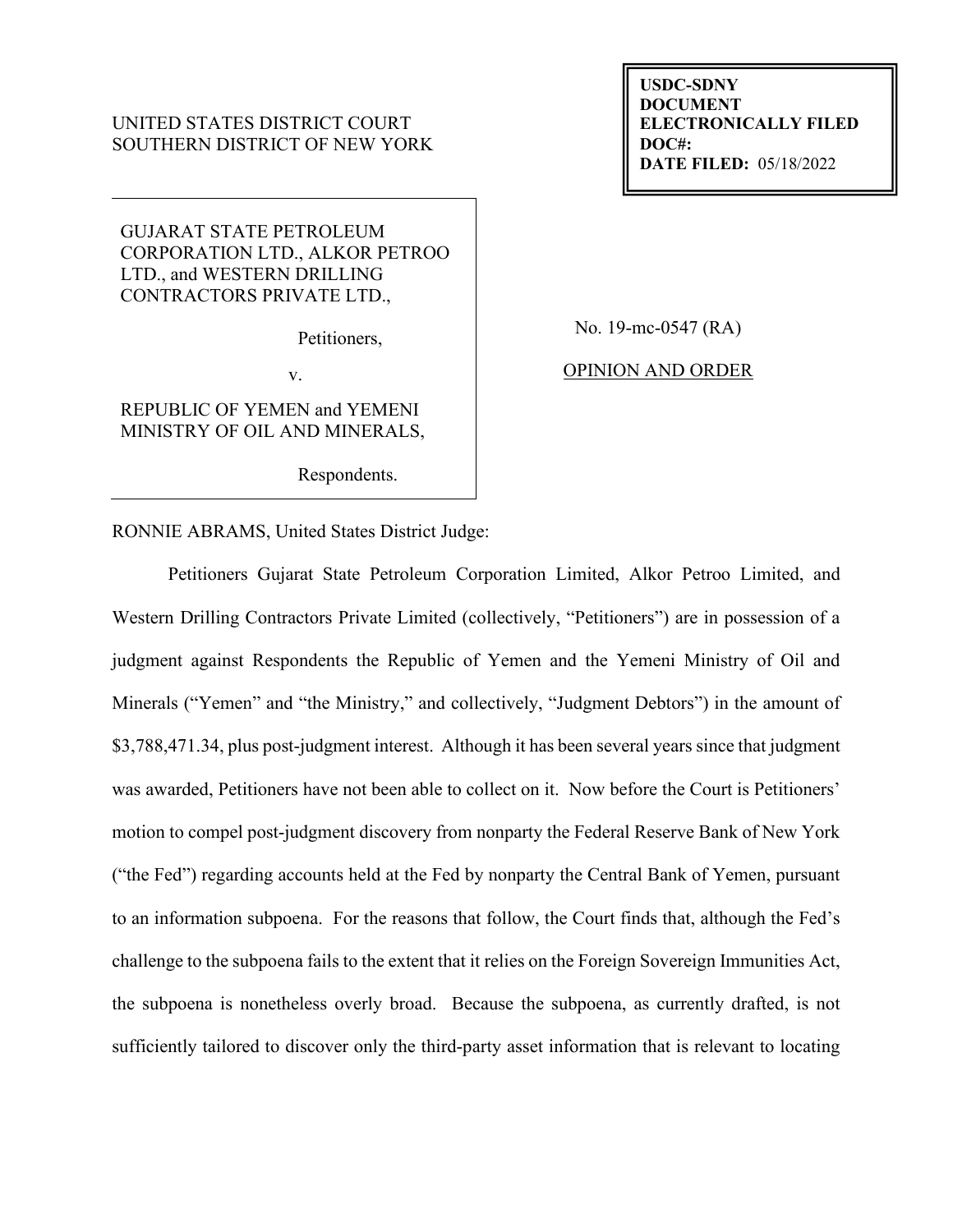# UNITED STATES DISTRICT COURT SOUTHERN DISTRICT OF NEW YORK

**USDC-SDNY DOCUMENT ELECTRONICALLY FILED DOC#: DATE FILED:** 05/18/2022

GUJARAT STATE PETROLEUM CORPORATION LTD., ALKOR PETROO LTD., and WESTERN DRILLING CONTRACTORS PRIVATE LTD.,

Petitioners,

v.

REPUBLIC OF YEMEN and YEMENI MINISTRY OF OIL AND MINERALS,

Respondents.

No. 19-mc-0547 (RA)

OPINION AND ORDER

RONNIE ABRAMS, United States District Judge:

Petitioners Gujarat State Petroleum Corporation Limited, Alkor Petroo Limited, and Western Drilling Contractors Private Limited (collectively, "Petitioners") are in possession of a judgment against Respondents the Republic of Yemen and the Yemeni Ministry of Oil and Minerals ("Yemen" and "the Ministry," and collectively, "Judgment Debtors") in the amount of \$3,788,471.34, plus post-judgment interest. Although it has been several years since that judgment was awarded, Petitioners have not been able to collect on it. Now before the Court is Petitioners' motion to compel post-judgment discovery from nonparty the Federal Reserve Bank of New York ("the Fed") regarding accounts held at the Fed by nonparty the Central Bank of Yemen, pursuant to an information subpoena. For the reasons that follow, the Court finds that, although the Fed's challenge to the subpoena fails to the extent that it relies on the Foreign Sovereign Immunities Act, the subpoena is nonetheless overly broad. Because the subpoena, as currently drafted, is not sufficiently tailored to discover only the third-party asset information that is relevant to locating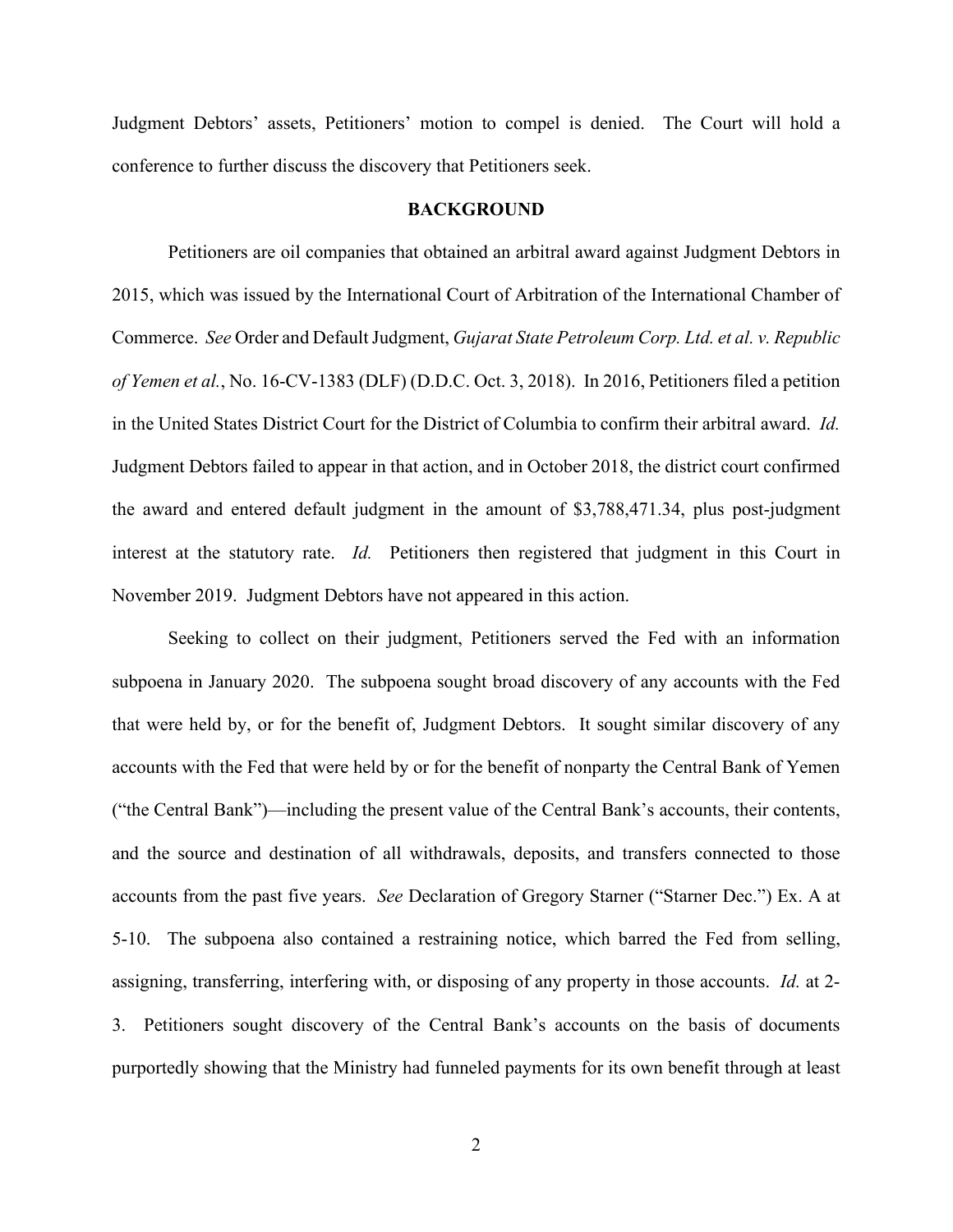Judgment Debtors' assets, Petitioners' motion to compel is denied. The Court will hold a conference to further discuss the discovery that Petitioners seek.

#### **BACKGROUND**

Petitioners are oil companies that obtained an arbitral award against Judgment Debtors in 2015, which was issued by the International Court of Arbitration of the International Chamber of Commerce. *See* Order and Default Judgment, *Gujarat State Petroleum Corp. Ltd. et al. v. Republic of Yemen et al.*, No. 16-CV-1383 (DLF) (D.D.C. Oct. 3, 2018). In 2016, Petitioners filed a petition in the United States District Court for the District of Columbia to confirm their arbitral award. *Id.* Judgment Debtors failed to appear in that action, and in October 2018, the district court confirmed the award and entered default judgment in the amount of \$3,788,471.34, plus post-judgment interest at the statutory rate. *Id.* Petitioners then registered that judgment in this Court in November 2019. Judgment Debtors have not appeared in this action.

Seeking to collect on their judgment, Petitioners served the Fed with an information subpoena in January 2020. The subpoena sought broad discovery of any accounts with the Fed that were held by, or for the benefit of, Judgment Debtors. It sought similar discovery of any accounts with the Fed that were held by or for the benefit of nonparty the Central Bank of Yemen ("the Central Bank")—including the present value of the Central Bank's accounts, their contents, and the source and destination of all withdrawals, deposits, and transfers connected to those accounts from the past five years. *See* Declaration of Gregory Starner ("Starner Dec.") Ex. A at 5-10. The subpoena also contained a restraining notice, which barred the Fed from selling, assigning, transferring, interfering with, or disposing of any property in those accounts. *Id.* at 2- 3. Petitioners sought discovery of the Central Bank's accounts on the basis of documents purportedly showing that the Ministry had funneled payments for its own benefit through at least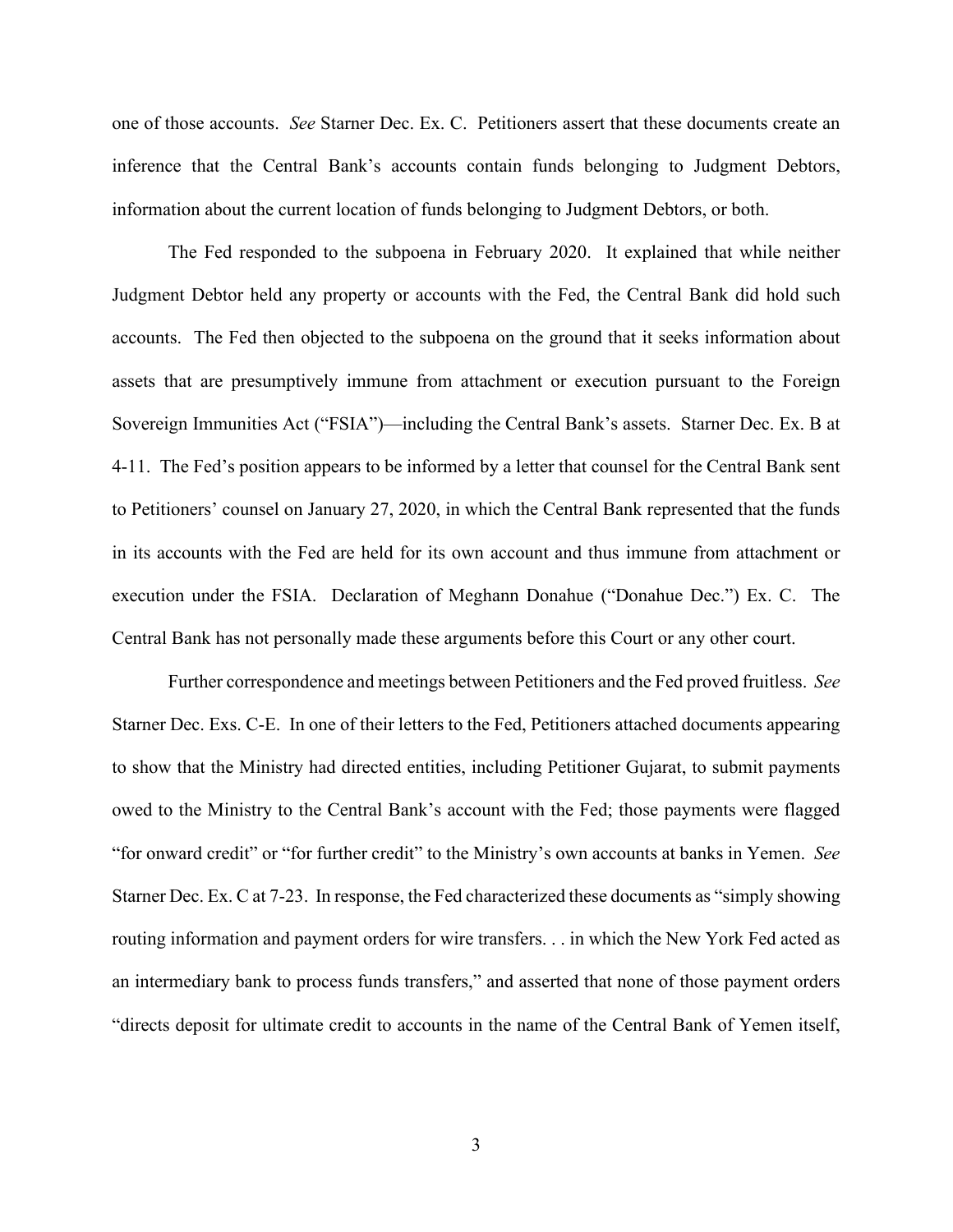one of those accounts. *See* Starner Dec. Ex. C. Petitioners assert that these documents create an inference that the Central Bank's accounts contain funds belonging to Judgment Debtors, information about the current location of funds belonging to Judgment Debtors, or both.

The Fed responded to the subpoena in February 2020. It explained that while neither Judgment Debtor held any property or accounts with the Fed, the Central Bank did hold such accounts. The Fed then objected to the subpoena on the ground that it seeks information about assets that are presumptively immune from attachment or execution pursuant to the Foreign Sovereign Immunities Act ("FSIA")—including the Central Bank's assets. Starner Dec. Ex. B at 4-11. The Fed's position appears to be informed by a letter that counsel for the Central Bank sent to Petitioners' counsel on January 27, 2020, in which the Central Bank represented that the funds in its accounts with the Fed are held for its own account and thus immune from attachment or execution under the FSIA. Declaration of Meghann Donahue ("Donahue Dec.") Ex. C. The Central Bank has not personally made these arguments before this Court or any other court.

Further correspondence and meetings between Petitioners and the Fed proved fruitless. *See* Starner Dec. Exs. C-E. In one of their letters to the Fed, Petitioners attached documents appearing to show that the Ministry had directed entities, including Petitioner Gujarat, to submit payments owed to the Ministry to the Central Bank's account with the Fed; those payments were flagged "for onward credit" or "for further credit" to the Ministry's own accounts at banks in Yemen. *See* Starner Dec. Ex. C at 7-23. In response, the Fed characterized these documents as "simply showing routing information and payment orders for wire transfers. . . in which the New York Fed acted as an intermediary bank to process funds transfers," and asserted that none of those payment orders "directs deposit for ultimate credit to accounts in the name of the Central Bank of Yemen itself,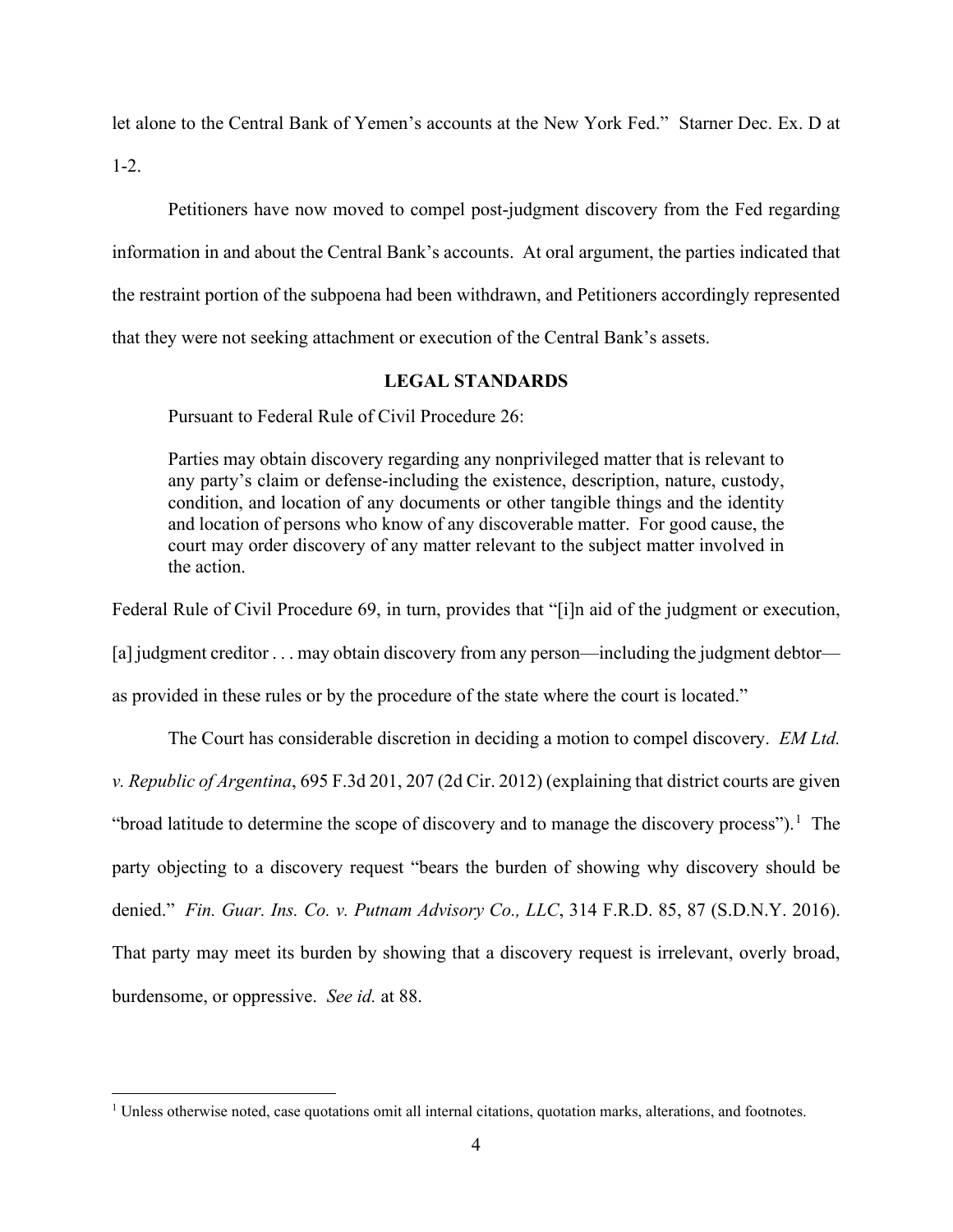let alone to the Central Bank of Yemen's accounts at the New York Fed." Starner Dec. Ex. D at

 $1 - 2$ .

Petitioners have now moved to compel post-judgment discovery from the Fed regarding information in and about the Central Bank's accounts. At oral argument, the parties indicated that the restraint portion of the subpoena had been withdrawn, and Petitioners accordingly represented that they were not seeking attachment or execution of the Central Bank's assets.

## **LEGAL STANDARDS**

Pursuant to Federal Rule of Civil Procedure 26:

Parties may obtain discovery regarding any nonprivileged matter that is relevant to any party's claim or defense-including the existence, description, nature, custody, condition, and location of any documents or other tangible things and the identity and location of persons who know of any discoverable matter. For good cause, the court may order discovery of any matter relevant to the subject matter involved in the action.

Federal Rule of Civil Procedure 69, in turn, provides that "[i]n aid of the judgment or execution,

[a] judgment creditor . . . may obtain discovery from any person—including the judgment debtor—

as provided in these rules or by the procedure of the state where the court is located."

The Court has considerable discretion in deciding a motion to compel discovery. *EM Ltd. v. Republic of Argentina*, 695 F.3d 201, 207 (2d Cir. 2012) (explaining that district courts are given "broad latitude to determine the scope of discovery and to manage the discovery process").<sup>[1](#page-3-0)</sup> The party objecting to a discovery request "bears the burden of showing why discovery should be denied." *Fin. Guar. Ins. Co. v. Putnam Advisory Co., LLC*, 314 F.R.D. 85, 87 (S.D.N.Y. 2016). That party may meet its burden by showing that a discovery request is irrelevant, overly broad, burdensome, or oppressive. *See id.* at 88.

<span id="page-3-0"></span><sup>&</sup>lt;sup>1</sup> Unless otherwise noted, case quotations omit all internal citations, quotation marks, alterations, and footnotes.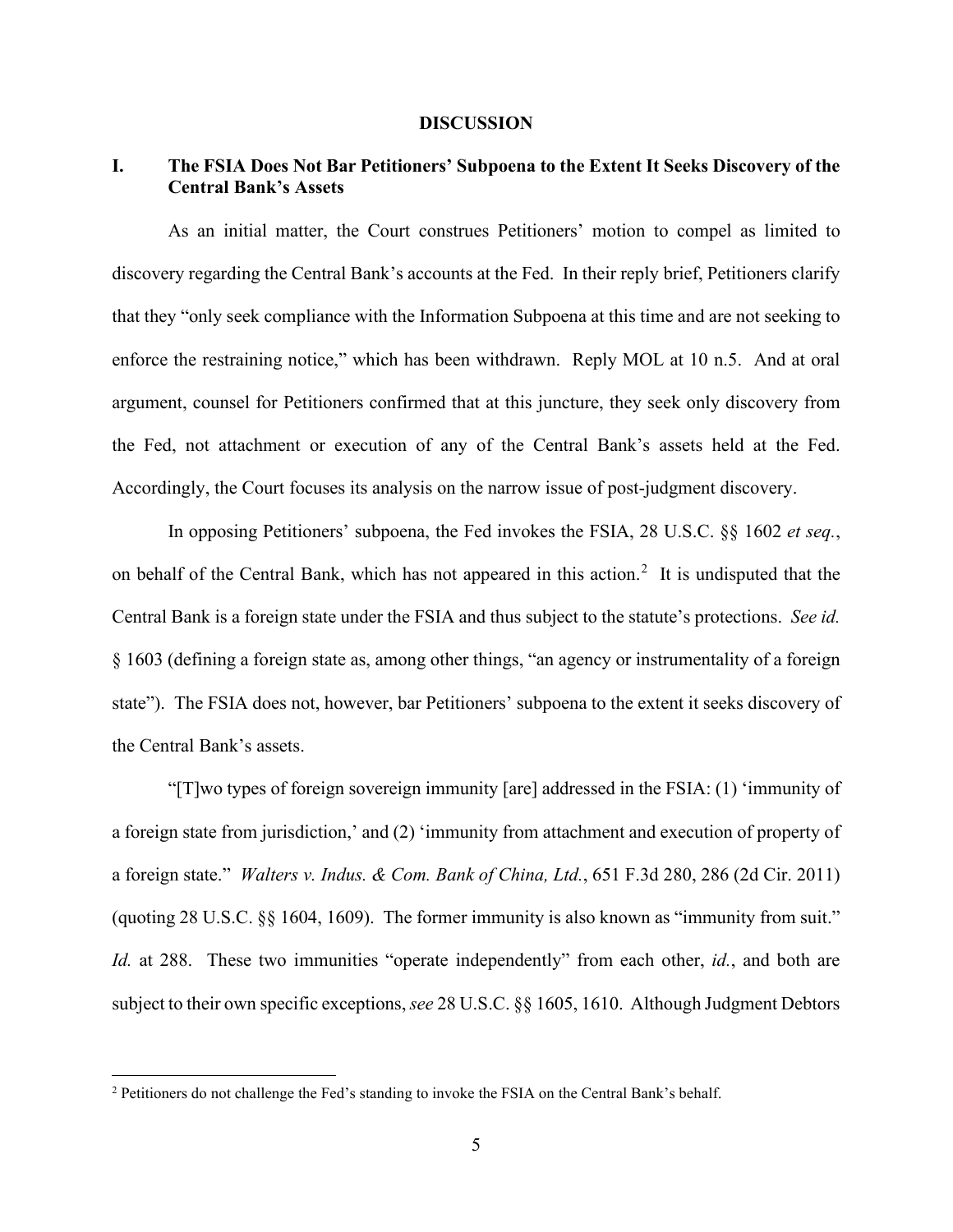#### **DISCUSSION**

# **I. The FSIA Does Not Bar Petitioners' Subpoena to the Extent It Seeks Discovery of the Central Bank's Assets**

As an initial matter, the Court construes Petitioners' motion to compel as limited to discovery regarding the Central Bank's accounts at the Fed. In their reply brief, Petitioners clarify that they "only seek compliance with the Information Subpoena at this time and are not seeking to enforce the restraining notice," which has been withdrawn. Reply MOL at 10 n.5. And at oral argument, counsel for Petitioners confirmed that at this juncture, they seek only discovery from the Fed, not attachment or execution of any of the Central Bank's assets held at the Fed. Accordingly, the Court focuses its analysis on the narrow issue of post-judgment discovery.

In opposing Petitioners' subpoena, the Fed invokes the FSIA, 28 U.S.C. §§ 1602 *et seq.*, on behalf of the Central Bank, which has not appeared in this action.<sup>[2](#page-4-0)</sup> It is undisputed that the Central Bank is a foreign state under the FSIA and thus subject to the statute's protections. *See id.* § 1603 (defining a foreign state as, among other things, "an agency or instrumentality of a foreign state"). The FSIA does not, however, bar Petitioners' subpoena to the extent it seeks discovery of the Central Bank's assets.

"[T]wo types of foreign sovereign immunity [are] addressed in the FSIA: (1) 'immunity of a foreign state from jurisdiction,' and (2) 'immunity from attachment and execution of property of a foreign state." *Walters v. Indus. & Com. Bank of China, Ltd.*, 651 F.3d 280, 286 (2d Cir. 2011) (quoting 28 U.S.C. §§ 1604, 1609). The former immunity is also known as "immunity from suit." *Id.* at 288. These two immunities "operate independently" from each other, *id.*, and both are subject to their own specific exceptions, *see* 28 U.S.C. §§ 1605, 1610. Although Judgment Debtors

<span id="page-4-0"></span><sup>&</sup>lt;sup>2</sup> Petitioners do not challenge the Fed's standing to invoke the FSIA on the Central Bank's behalf.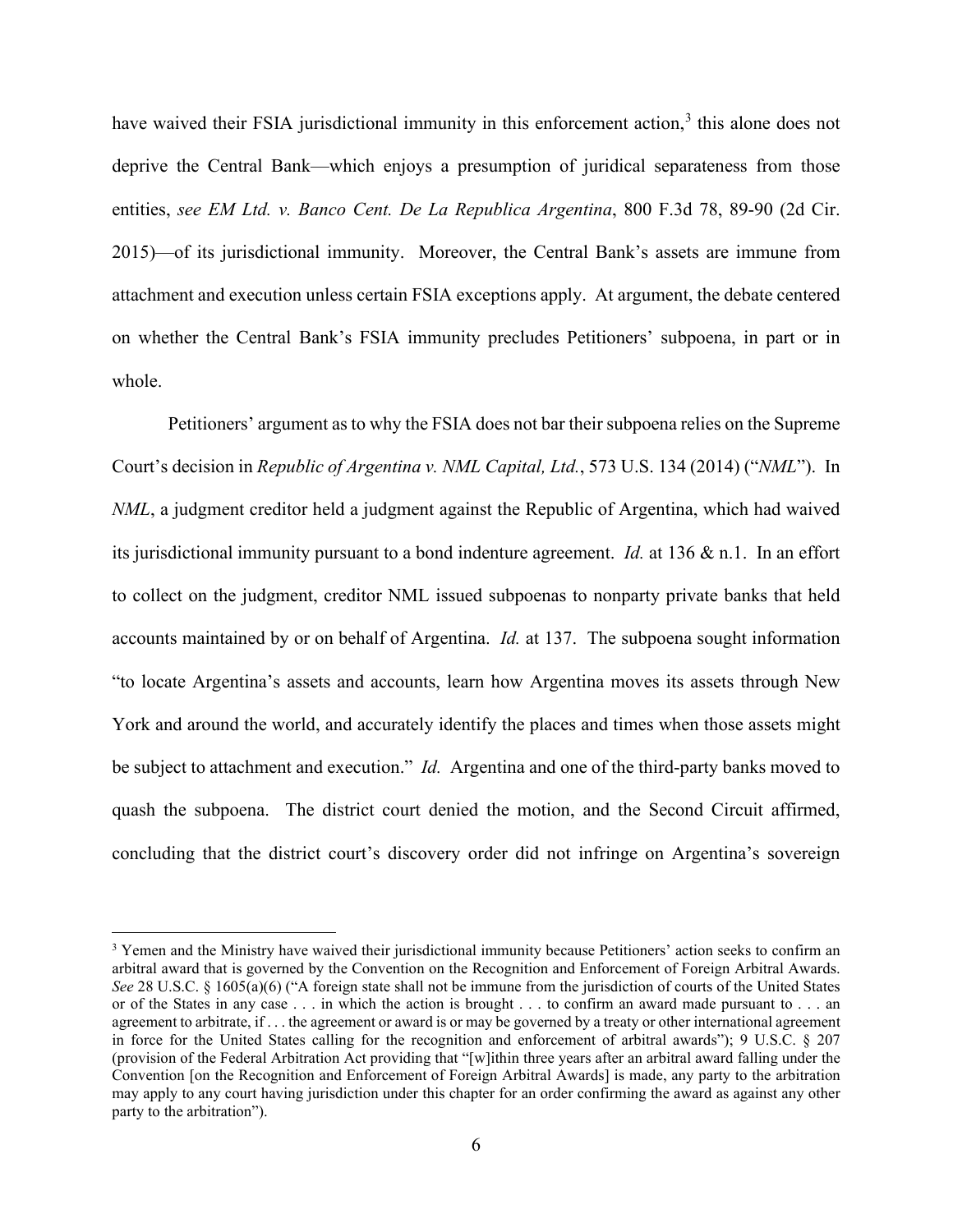have waived their FSIA jurisdictional immunity in this enforcement action,<sup>[3](#page-5-0)</sup> this alone does not deprive the Central Bank—which enjoys a presumption of juridical separateness from those entities, *see EM Ltd. v. Banco Cent. De La Republica Argentina*, 800 F.3d 78, 89-90 (2d Cir. 2015)—of its jurisdictional immunity. Moreover, the Central Bank's assets are immune from attachment and execution unless certain FSIA exceptions apply. At argument, the debate centered on whether the Central Bank's FSIA immunity precludes Petitioners' subpoena, in part or in whole.

Petitioners' argument as to why the FSIA does not bar their subpoena relies on the Supreme Court's decision in *Republic of Argentina v. NML Capital, Ltd.*, 573 U.S. 134 (2014) ("*NML*"). In *NML*, a judgment creditor held a judgment against the Republic of Argentina, which had waived its jurisdictional immunity pursuant to a bond indenture agreement. *Id.* at 136 & n.1. In an effort to collect on the judgment, creditor NML issued subpoenas to nonparty private banks that held accounts maintained by or on behalf of Argentina. *Id.* at 137. The subpoena sought information "to locate Argentina's assets and accounts, learn how Argentina moves its assets through New York and around the world, and accurately identify the places and times when those assets might be subject to attachment and execution." *Id.* Argentina and one of the third-party banks moved to quash the subpoena. The district court denied the motion, and the Second Circuit affirmed, concluding that the district court's discovery order did not infringe on Argentina's sovereign

<span id="page-5-0"></span><sup>&</sup>lt;sup>3</sup> Yemen and the Ministry have waived their jurisdictional immunity because Petitioners' action seeks to confirm an arbitral award that is governed by the Convention on the Recognition and Enforcement of Foreign Arbitral Awards. *See* 28 U.S.C. § 1605(a)(6) ("A foreign state shall not be immune from the jurisdiction of courts of the United States or of the States in any case . . . in which the action is brought . . . to confirm an award made pursuant to . . . an agreement to arbitrate, if . . . the agreement or award is or may be governed by a treaty or other international agreement in force for the United States calling for the recognition and enforcement of arbitral awards"); 9 U.S.C. § 207 (provision of the Federal Arbitration Act providing that "[w]ithin three years after an arbitral award falling under the Convention [on the Recognition and Enforcement of Foreign Arbitral Awards] is made, any party to the arbitration may apply to any court having jurisdiction under this chapter for an order confirming the award as against any other party to the arbitration").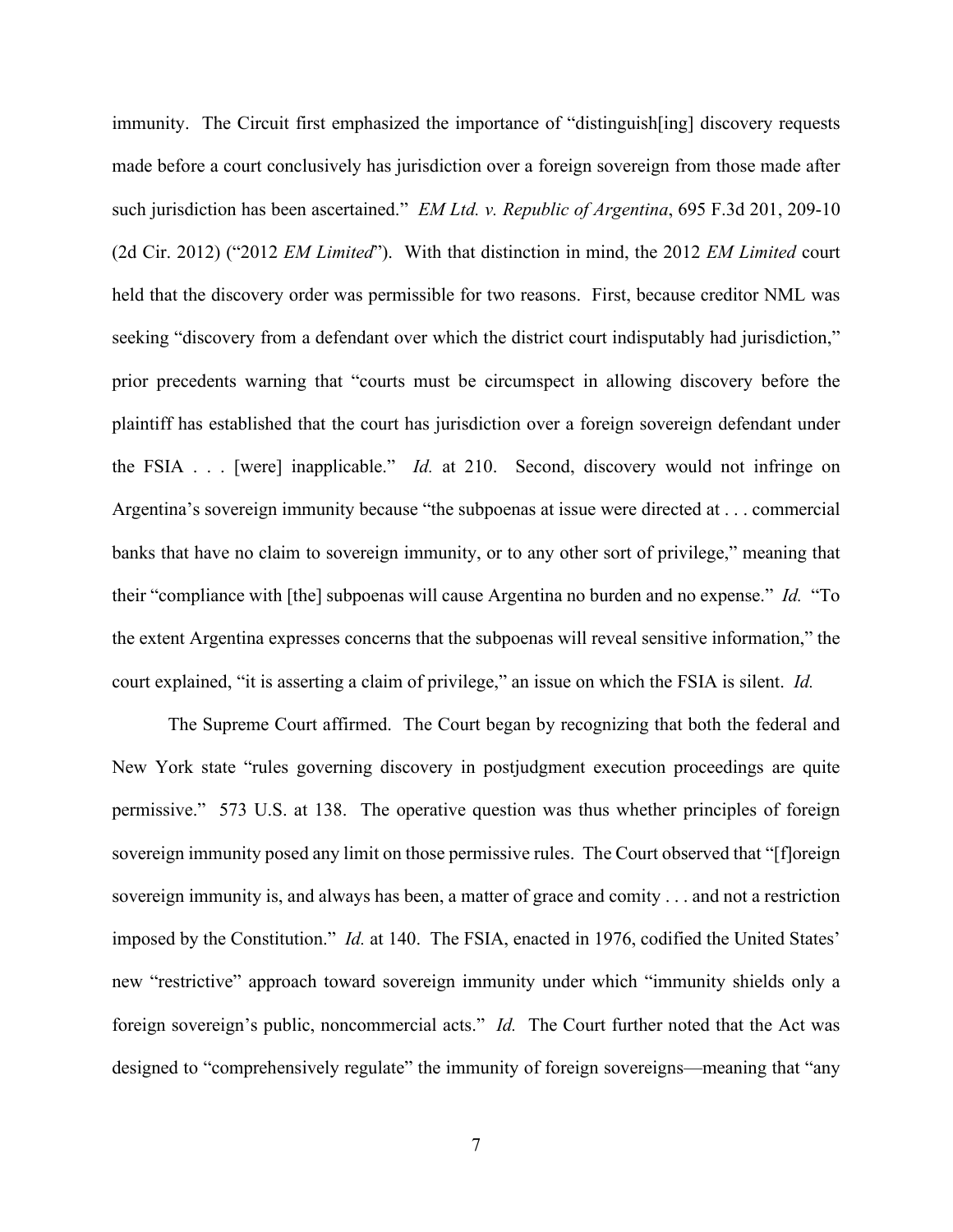immunity. The Circuit first emphasized the importance of "distinguish[ing] discovery requests made before a court conclusively has jurisdiction over a foreign sovereign from those made after such jurisdiction has been ascertained." *EM Ltd. v. Republic of Argentina*, 695 F.3d 201, 209-10 (2d Cir. 2012) ("2012 *EM Limited*"). With that distinction in mind, the 2012 *EM Limited* court held that the discovery order was permissible for two reasons. First, because creditor NML was seeking "discovery from a defendant over which the district court indisputably had jurisdiction," prior precedents warning that "courts must be circumspect in allowing discovery before the plaintiff has established that the court has jurisdiction over a foreign sovereign defendant under the FSIA . . . [were] inapplicable." *Id.* at 210. Second, discovery would not infringe on Argentina's sovereign immunity because "the subpoenas at issue were directed at . . . commercial banks that have no claim to sovereign immunity, or to any other sort of privilege," meaning that their "compliance with [the] subpoenas will cause Argentina no burden and no expense." *Id.* "To the extent Argentina expresses concerns that the subpoenas will reveal sensitive information," the court explained, "it is asserting a claim of privilege," an issue on which the FSIA is silent. *Id.*

The Supreme Court affirmed. The Court began by recognizing that both the federal and New York state "rules governing discovery in postjudgment execution proceedings are quite permissive." 573 U.S. at 138. The operative question was thus whether principles of foreign sovereign immunity posed any limit on those permissive rules. The Court observed that "[f]oreign sovereign immunity is, and always has been, a matter of grace and comity . . . and not a restriction imposed by the Constitution." *Id.* at 140. The FSIA, enacted in 1976, codified the United States' new "restrictive" approach toward sovereign immunity under which "immunity shields only a foreign sovereign's public, noncommercial acts." *Id.* The Court further noted that the Act was designed to "comprehensively regulate" the immunity of foreign sovereigns—meaning that "any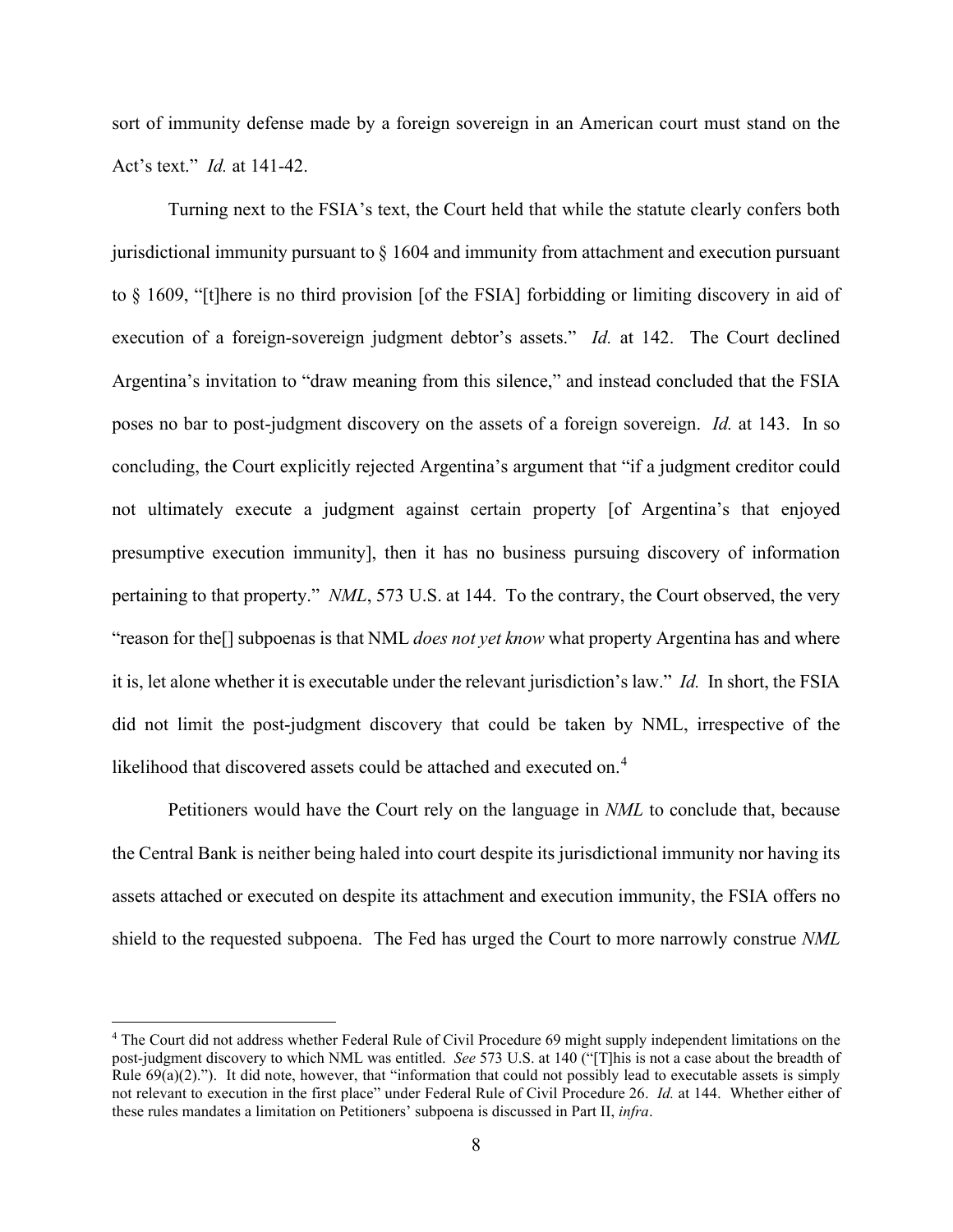sort of immunity defense made by a foreign sovereign in an American court must stand on the Act's text." *Id.* at 141-42.

Turning next to the FSIA's text, the Court held that while the statute clearly confers both jurisdictional immunity pursuant to § 1604 and immunity from attachment and execution pursuant to § 1609, "[t]here is no third provision [of the FSIA] forbidding or limiting discovery in aid of execution of a foreign-sovereign judgment debtor's assets." *Id.* at 142. The Court declined Argentina's invitation to "draw meaning from this silence," and instead concluded that the FSIA poses no bar to post-judgment discovery on the assets of a foreign sovereign. *Id.* at 143. In so concluding, the Court explicitly rejected Argentina's argument that "if a judgment creditor could not ultimately execute a judgment against certain property [of Argentina's that enjoyed presumptive execution immunity], then it has no business pursuing discovery of information pertaining to that property." *NML*, 573 U.S. at 144. To the contrary, the Court observed, the very "reason for the[] subpoenas is that NML *does not yet know* what property Argentina has and where it is, let alone whether it is executable under the relevant jurisdiction's law." *Id.* In short, the FSIA did not limit the post-judgment discovery that could be taken by NML, irrespective of the likelihood that discovered assets could be attached and executed on.<sup>[4](#page-7-0)</sup>

Petitioners would have the Court rely on the language in *NML* to conclude that, because the Central Bank is neither being haled into court despite its jurisdictional immunity nor having its assets attached or executed on despite its attachment and execution immunity, the FSIA offers no shield to the requested subpoena. The Fed has urged the Court to more narrowly construe *NML*

<span id="page-7-0"></span><sup>4</sup> The Court did not address whether Federal Rule of Civil Procedure 69 might supply independent limitations on the post-judgment discovery to which NML was entitled. *See* 573 U.S. at 140 ("[T]his is not a case about the breadth of Rule  $69(a)(2)$ ."). It did note, however, that "information that could not possibly lead to executable assets is simply not relevant to execution in the first place" under Federal Rule of Civil Procedure 26. *Id.* at 144. Whether either of these rules mandates a limitation on Petitioners' subpoena is discussed in Part II, *infra*.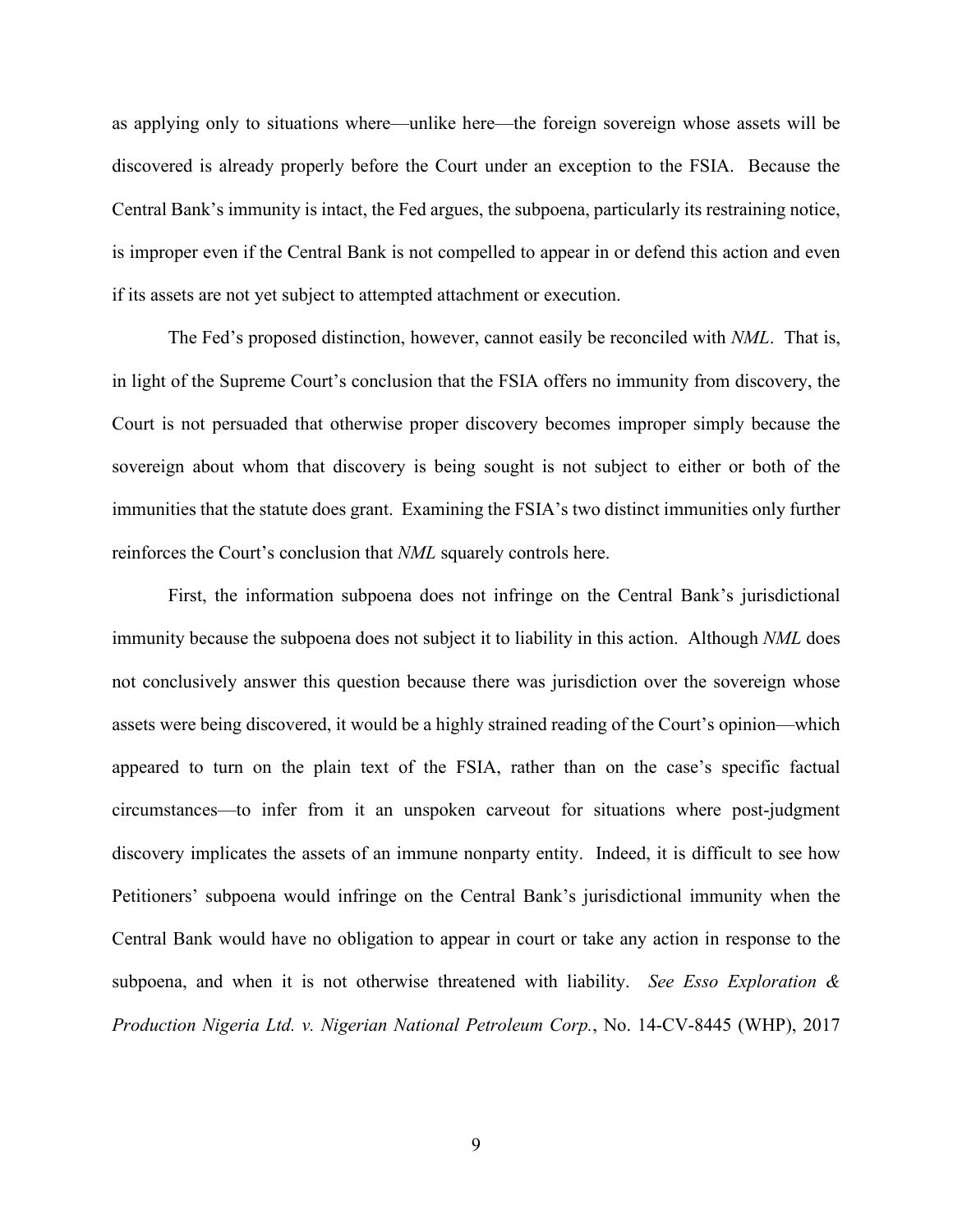as applying only to situations where—unlike here—the foreign sovereign whose assets will be discovered is already properly before the Court under an exception to the FSIA. Because the Central Bank's immunity is intact, the Fed argues, the subpoena, particularly its restraining notice, is improper even if the Central Bank is not compelled to appear in or defend this action and even if its assets are not yet subject to attempted attachment or execution.

The Fed's proposed distinction, however, cannot easily be reconciled with *NML*. That is, in light of the Supreme Court's conclusion that the FSIA offers no immunity from discovery, the Court is not persuaded that otherwise proper discovery becomes improper simply because the sovereign about whom that discovery is being sought is not subject to either or both of the immunities that the statute does grant. Examining the FSIA's two distinct immunities only further reinforces the Court's conclusion that *NML* squarely controls here.

First, the information subpoena does not infringe on the Central Bank's jurisdictional immunity because the subpoena does not subject it to liability in this action. Although *NML* does not conclusively answer this question because there was jurisdiction over the sovereign whose assets were being discovered, it would be a highly strained reading of the Court's opinion—which appeared to turn on the plain text of the FSIA, rather than on the case's specific factual circumstances—to infer from it an unspoken carveout for situations where post-judgment discovery implicates the assets of an immune nonparty entity. Indeed, it is difficult to see how Petitioners' subpoena would infringe on the Central Bank's jurisdictional immunity when the Central Bank would have no obligation to appear in court or take any action in response to the subpoena, and when it is not otherwise threatened with liability. *See Esso Exploration & Production Nigeria Ltd. v. Nigerian National Petroleum Corp.*, No. 14-CV-8445 (WHP), 2017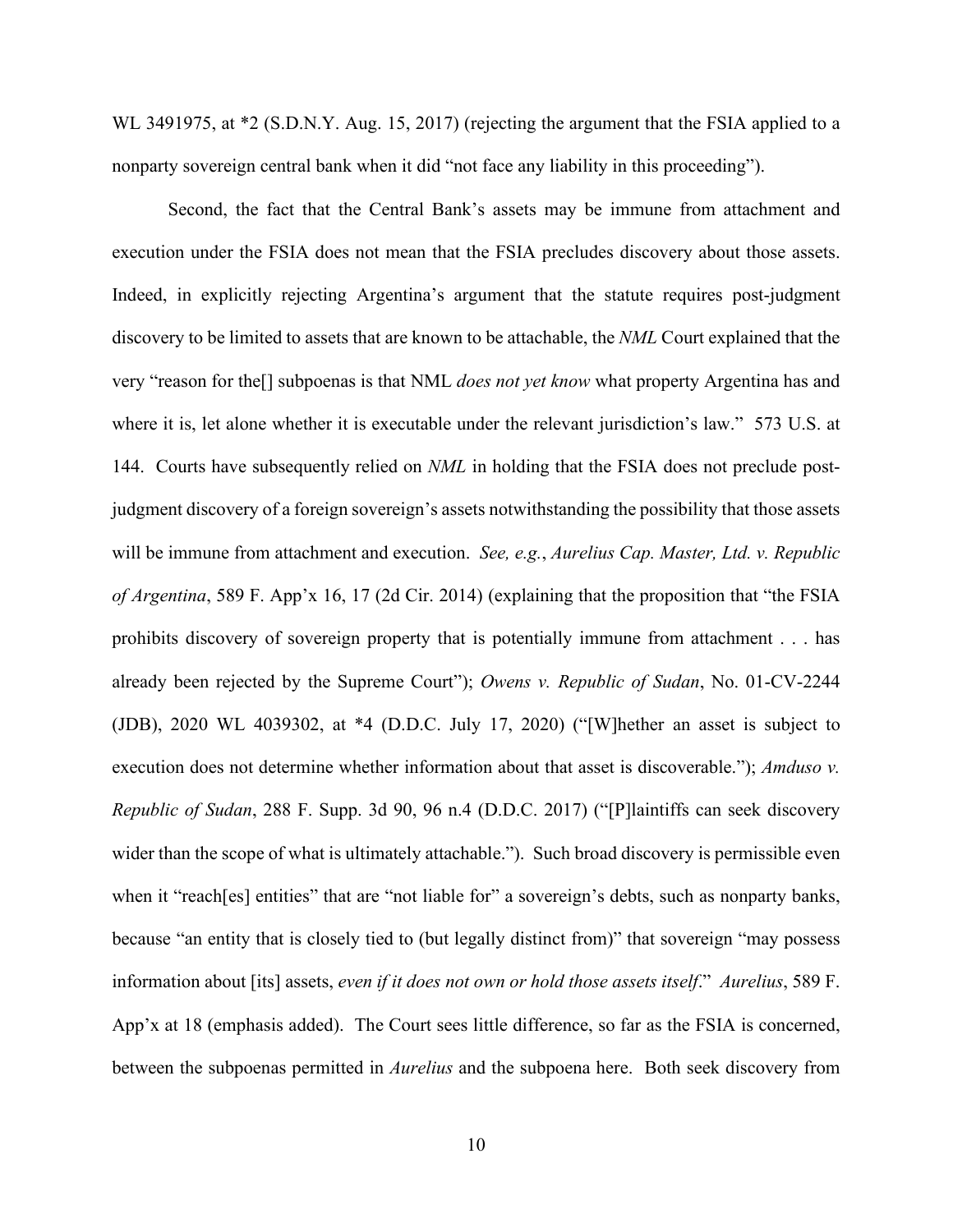WL 3491975, at \*2 (S.D.N.Y. Aug. 15, 2017) (rejecting the argument that the FSIA applied to a nonparty sovereign central bank when it did "not face any liability in this proceeding").

Second, the fact that the Central Bank's assets may be immune from attachment and execution under the FSIA does not mean that the FSIA precludes discovery about those assets. Indeed, in explicitly rejecting Argentina's argument that the statute requires post-judgment discovery to be limited to assets that are known to be attachable, the *NML* Court explained that the very "reason for the[] subpoenas is that NML *does not yet know* what property Argentina has and where it is, let alone whether it is executable under the relevant jurisdiction's law." 573 U.S. at 144. Courts have subsequently relied on *NML* in holding that the FSIA does not preclude postjudgment discovery of a foreign sovereign's assets notwithstanding the possibility that those assets will be immune from attachment and execution. *See, e.g.*, *Aurelius Cap. Master, Ltd. v. Republic of Argentina*, 589 F. App'x 16, 17 (2d Cir. 2014) (explaining that the proposition that "the FSIA prohibits discovery of sovereign property that is potentially immune from attachment . . . has already been rejected by the Supreme Court"); *Owens v. Republic of Sudan*, No. 01-CV-2244 (JDB), 2020 WL 4039302, at \*4 (D.D.C. July 17, 2020) ("[W]hether an asset is subject to execution does not determine whether information about that asset is discoverable."); *Amduso v. Republic of Sudan*, 288 F. Supp. 3d 90, 96 n.4 (D.D.C. 2017) ("[P]laintiffs can seek discovery wider than the scope of what is ultimately attachable."). Such broad discovery is permissible even when it "reach[es] entities" that are "not liable for" a sovereign's debts, such as nonparty banks, because "an entity that is closely tied to (but legally distinct from)" that sovereign "may possess information about [its] assets, *even if it does not own or hold those assets itself*." *Aurelius*, 589 F. App'x at 18 (emphasis added). The Court sees little difference, so far as the FSIA is concerned, between the subpoenas permitted in *Aurelius* and the subpoena here. Both seek discovery from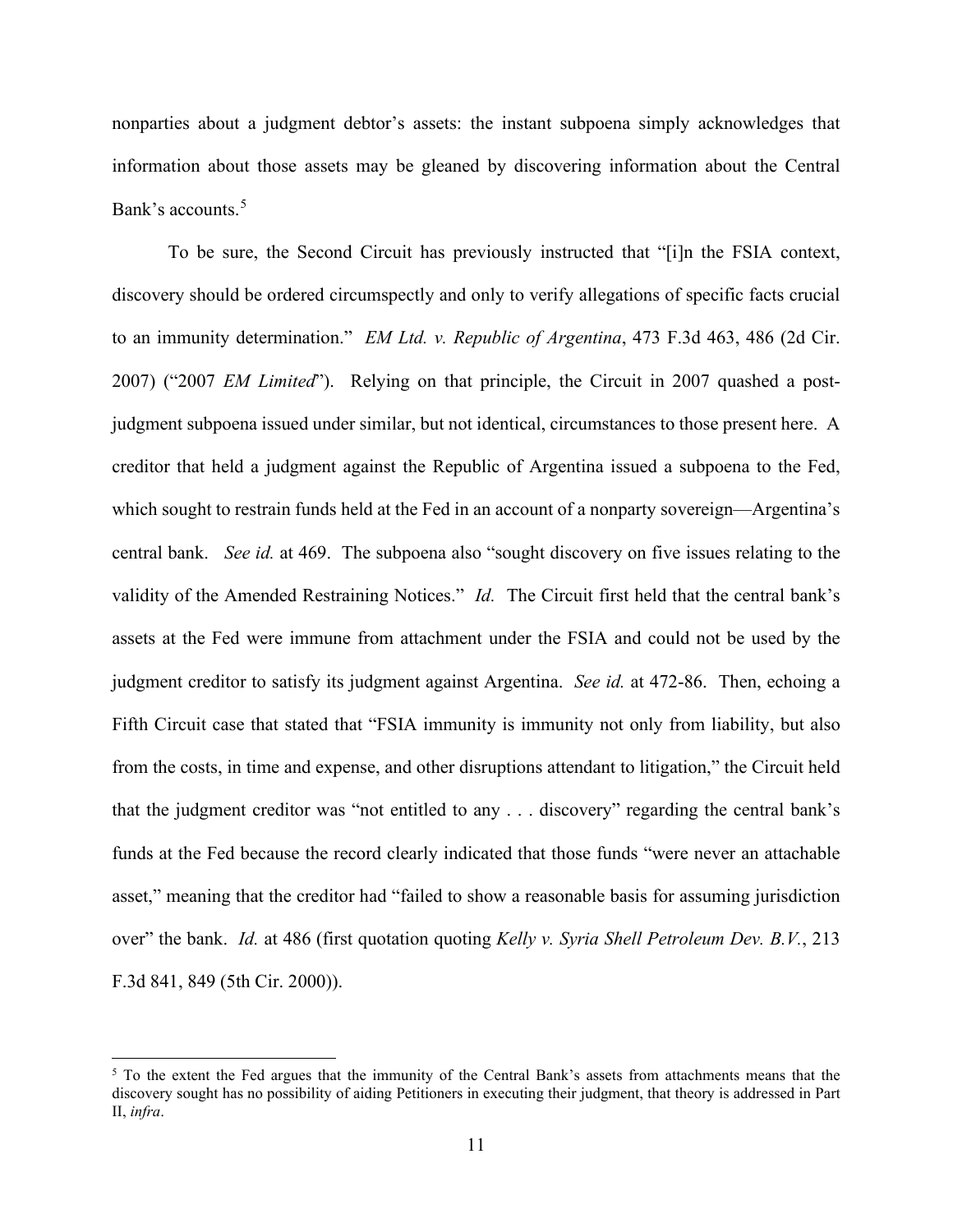nonparties about a judgment debtor's assets: the instant subpoena simply acknowledges that information about those assets may be gleaned by discovering information about the Central Bank's accounts.<sup>[5](#page-10-0)</sup>

To be sure, the Second Circuit has previously instructed that "[i]n the FSIA context, discovery should be ordered circumspectly and only to verify allegations of specific facts crucial to an immunity determination." *EM Ltd. v. Republic of Argentina*, 473 F.3d 463, 486 (2d Cir. 2007) ("2007 *EM Limited*"). Relying on that principle, the Circuit in 2007 quashed a postjudgment subpoena issued under similar, but not identical, circumstances to those present here. A creditor that held a judgment against the Republic of Argentina issued a subpoena to the Fed, which sought to restrain funds held at the Fed in an account of a nonparty sovereign—Argentina's central bank. *See id.* at 469. The subpoena also "sought discovery on five issues relating to the validity of the Amended Restraining Notices." *Id.* The Circuit first held that the central bank's assets at the Fed were immune from attachment under the FSIA and could not be used by the judgment creditor to satisfy its judgment against Argentina. *See id.* at 472-86. Then, echoing a Fifth Circuit case that stated that "FSIA immunity is immunity not only from liability, but also from the costs, in time and expense, and other disruptions attendant to litigation," the Circuit held that the judgment creditor was "not entitled to any . . . discovery" regarding the central bank's funds at the Fed because the record clearly indicated that those funds "were never an attachable asset," meaning that the creditor had "failed to show a reasonable basis for assuming jurisdiction over" the bank. *Id.* at 486 (first quotation quoting *Kelly v. Syria Shell Petroleum Dev. B.V.*, 213 F.3d 841, 849 (5th Cir. 2000)).

<span id="page-10-0"></span><sup>&</sup>lt;sup>5</sup> To the extent the Fed argues that the immunity of the Central Bank's assets from attachments means that the discovery sought has no possibility of aiding Petitioners in executing their judgment, that theory is addressed in Part II, *infra*.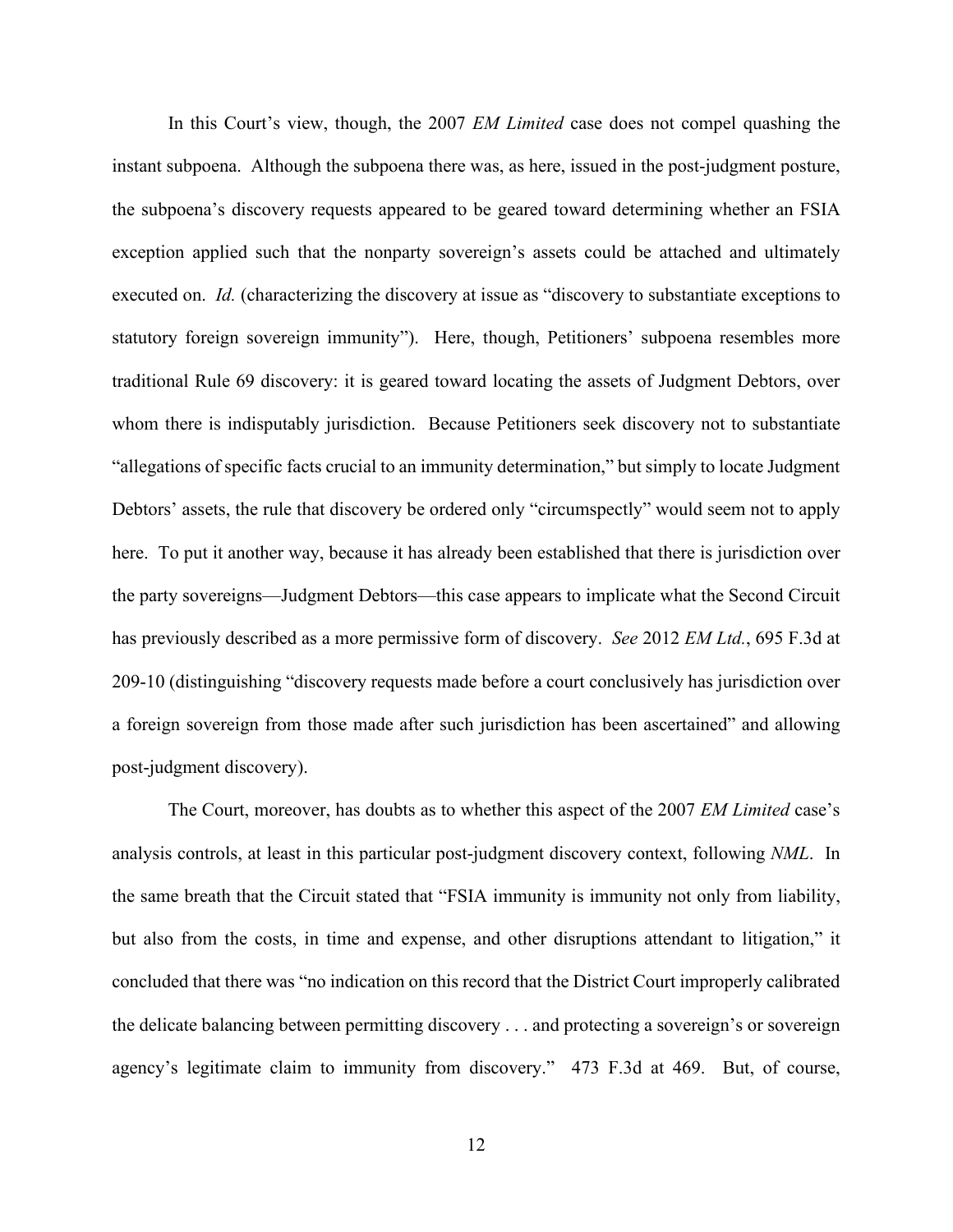In this Court's view, though, the 2007 *EM Limited* case does not compel quashing the instant subpoena. Although the subpoena there was, as here, issued in the post-judgment posture, the subpoena's discovery requests appeared to be geared toward determining whether an FSIA exception applied such that the nonparty sovereign's assets could be attached and ultimately executed on. *Id.* (characterizing the discovery at issue as "discovery to substantiate exceptions to statutory foreign sovereign immunity"). Here, though, Petitioners' subpoena resembles more traditional Rule 69 discovery: it is geared toward locating the assets of Judgment Debtors, over whom there is indisputably jurisdiction. Because Petitioners seek discovery not to substantiate "allegations of specific facts crucial to an immunity determination," but simply to locate Judgment Debtors' assets, the rule that discovery be ordered only "circumspectly" would seem not to apply here. To put it another way, because it has already been established that there is jurisdiction over the party sovereigns—Judgment Debtors—this case appears to implicate what the Second Circuit has previously described as a more permissive form of discovery. *See* 2012 *EM Ltd.*, 695 F.3d at 209-10 (distinguishing "discovery requests made before a court conclusively has jurisdiction over a foreign sovereign from those made after such jurisdiction has been ascertained" and allowing post-judgment discovery).

The Court, moreover, has doubts as to whether this aspect of the 2007 *EM Limited* case's analysis controls, at least in this particular post-judgment discovery context, following *NML*. In the same breath that the Circuit stated that "FSIA immunity is immunity not only from liability, but also from the costs, in time and expense, and other disruptions attendant to litigation," it concluded that there was "no indication on this record that the District Court improperly calibrated the delicate balancing between permitting discovery . . . and protecting a sovereign's or sovereign agency's legitimate claim to immunity from discovery." 473 F.3d at 469. But, of course,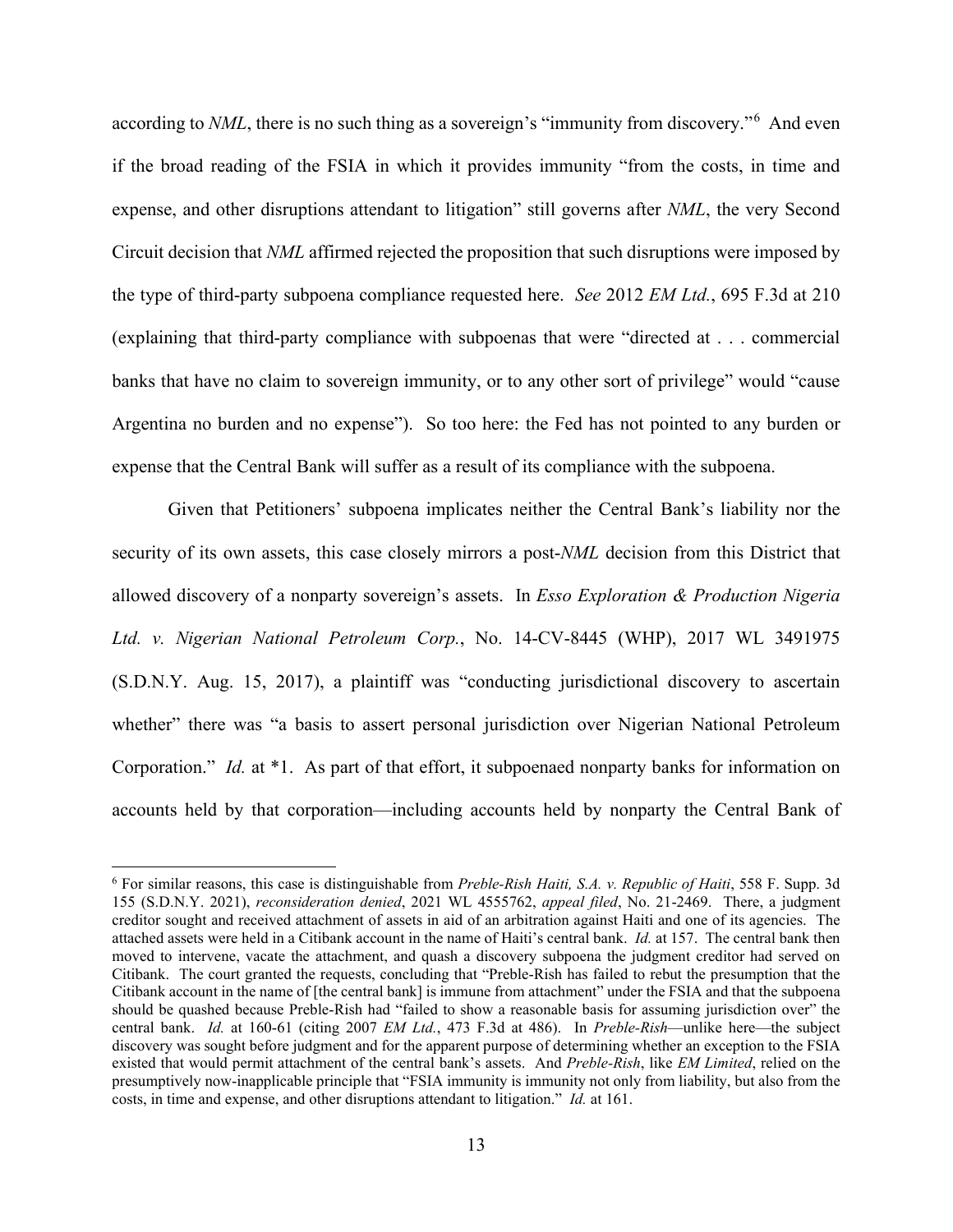according to *NML*, there is no such thing as a sovereign's "immunity from discovery."<sup>[6](#page-12-0)</sup> And even if the broad reading of the FSIA in which it provides immunity "from the costs, in time and expense, and other disruptions attendant to litigation" still governs after *NML*, the very Second Circuit decision that *NML* affirmed rejected the proposition that such disruptions were imposed by the type of third-party subpoena compliance requested here. *See* 2012 *EM Ltd.*, 695 F.3d at 210 (explaining that third-party compliance with subpoenas that were "directed at . . . commercial banks that have no claim to sovereign immunity, or to any other sort of privilege" would "cause Argentina no burden and no expense"). So too here: the Fed has not pointed to any burden or expense that the Central Bank will suffer as a result of its compliance with the subpoena.

Given that Petitioners' subpoena implicates neither the Central Bank's liability nor the security of its own assets, this case closely mirrors a post-*NML* decision from this District that allowed discovery of a nonparty sovereign's assets. In *Esso Exploration & Production Nigeria Ltd. v. Nigerian National Petroleum Corp.*, No. 14-CV-8445 (WHP), 2017 WL 3491975 (S.D.N.Y. Aug. 15, 2017), a plaintiff was "conducting jurisdictional discovery to ascertain whether" there was "a basis to assert personal jurisdiction over Nigerian National Petroleum Corporation." *Id.* at \*1. As part of that effort, it subpoenaed nonparty banks for information on accounts held by that corporation—including accounts held by nonparty the Central Bank of

<span id="page-12-0"></span><sup>6</sup> For similar reasons, this case is distinguishable from *Preble-Rish Haiti, S.A. v. Republic of Haiti*, 558 F. Supp. 3d 155 (S.D.N.Y. 2021), *reconsideration denied*, 2021 WL 4555762, *appeal filed*, No. 21-2469. There, a judgment creditor sought and received attachment of assets in aid of an arbitration against Haiti and one of its agencies. The attached assets were held in a Citibank account in the name of Haiti's central bank. *Id.* at 157. The central bank then moved to intervene, vacate the attachment, and quash a discovery subpoena the judgment creditor had served on Citibank. The court granted the requests, concluding that "Preble-Rish has failed to rebut the presumption that the Citibank account in the name of [the central bank] is immune from attachment" under the FSIA and that the subpoena should be quashed because Preble-Rish had "failed to show a reasonable basis for assuming jurisdiction over" the central bank. *Id.* at 160-61 (citing 2007 *EM Ltd.*, 473 F.3d at 486). In *Preble-Rish*—unlike here—the subject discovery was sought before judgment and for the apparent purpose of determining whether an exception to the FSIA existed that would permit attachment of the central bank's assets. And *Preble-Rish*, like *EM Limited*, relied on the presumptively now-inapplicable principle that "FSIA immunity is immunity not only from liability, but also from the costs, in time and expense, and other disruptions attendant to litigation." *Id.* at 161.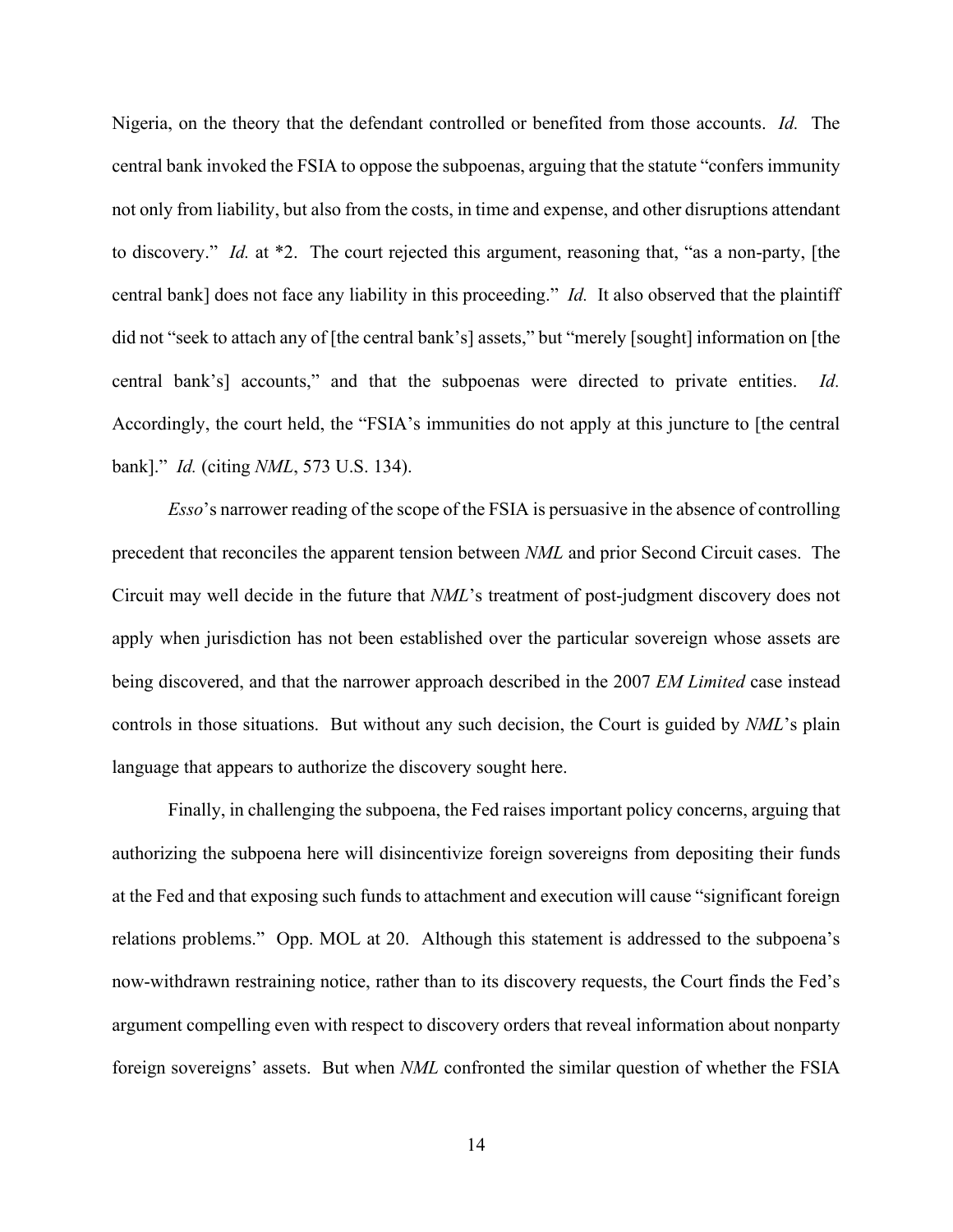Nigeria, on the theory that the defendant controlled or benefited from those accounts. *Id.* The central bank invoked the FSIA to oppose the subpoenas, arguing that the statute "confers immunity not only from liability, but also from the costs, in time and expense, and other disruptions attendant to discovery." *Id.* at \*2. The court rejected this argument, reasoning that, "as a non-party, [the central bank] does not face any liability in this proceeding." *Id.* It also observed that the plaintiff did not "seek to attach any of [the central bank's] assets," but "merely [sought] information on [the central bank's] accounts," and that the subpoenas were directed to private entities. *Id.* Accordingly, the court held, the "FSIA's immunities do not apply at this juncture to [the central bank]." *Id.* (citing *NML*, 573 U.S. 134).

*Esso*'s narrower reading of the scope of the FSIA is persuasive in the absence of controlling precedent that reconciles the apparent tension between *NML* and prior Second Circuit cases. The Circuit may well decide in the future that *NML*'s treatment of post-judgment discovery does not apply when jurisdiction has not been established over the particular sovereign whose assets are being discovered, and that the narrower approach described in the 2007 *EM Limited* case instead controls in those situations. But without any such decision, the Court is guided by *NML*'s plain language that appears to authorize the discovery sought here.

Finally, in challenging the subpoena, the Fed raises important policy concerns, arguing that authorizing the subpoena here will disincentivize foreign sovereigns from depositing their funds at the Fed and that exposing such funds to attachment and execution will cause "significant foreign relations problems." Opp. MOL at 20. Although this statement is addressed to the subpoena's now-withdrawn restraining notice, rather than to its discovery requests, the Court finds the Fed's argument compelling even with respect to discovery orders that reveal information about nonparty foreign sovereigns' assets. But when *NML* confronted the similar question of whether the FSIA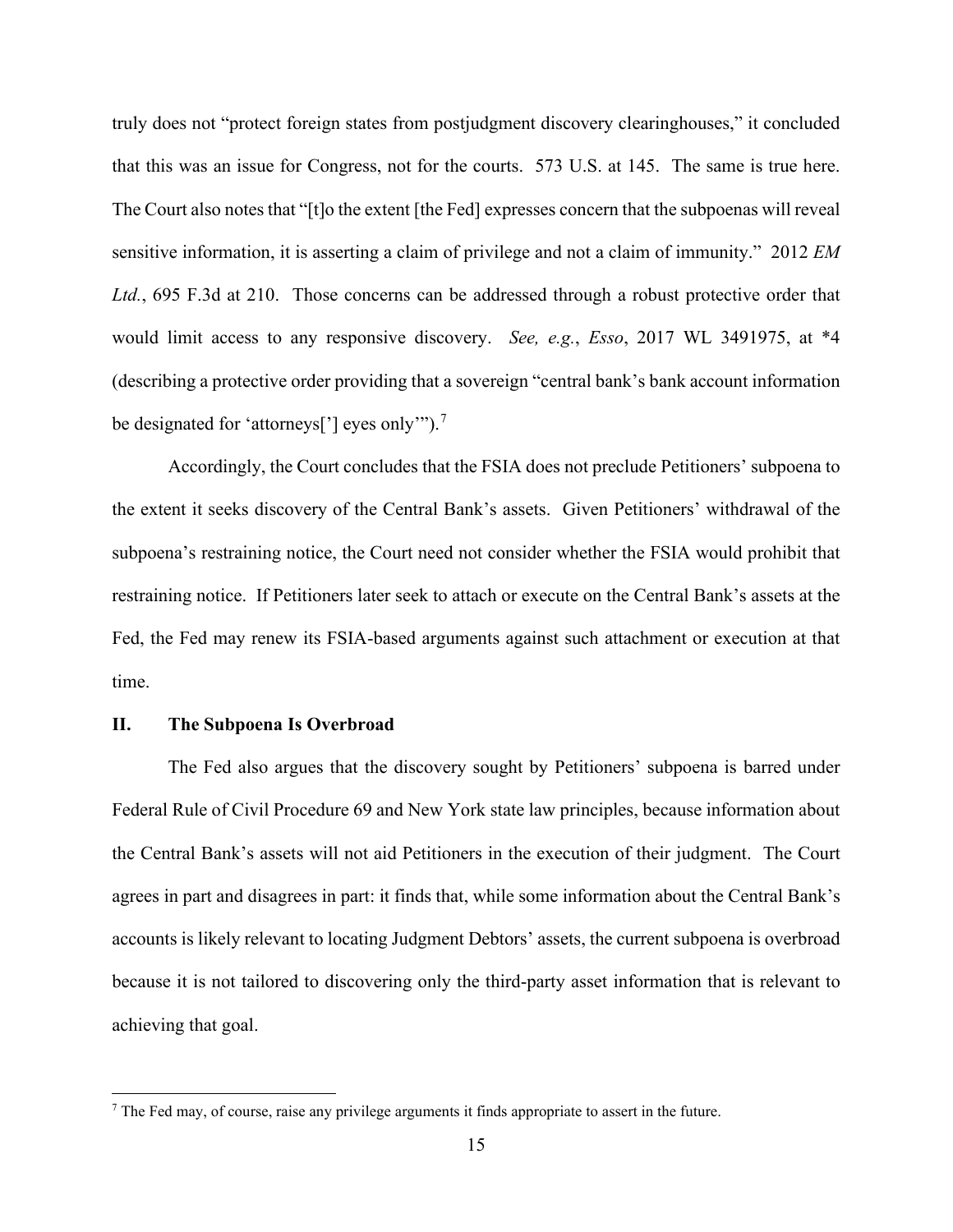truly does not "protect foreign states from postjudgment discovery clearinghouses," it concluded that this was an issue for Congress, not for the courts. 573 U.S. at 145. The same is true here. The Court also notes that "[t]o the extent [the Fed] expresses concern that the subpoenas will reveal sensitive information, it is asserting a claim of privilege and not a claim of immunity." 2012 *EM Ltd.*, 695 F.3d at 210. Those concerns can be addressed through a robust protective order that would limit access to any responsive discovery. *See, e.g.*, *Esso*, 2017 WL 3491975, at \*4 (describing a protective order providing that a sovereign "central bank's bank account information be designated for 'attorneys['] eyes only"").<sup>[7](#page-14-0)</sup>

Accordingly, the Court concludes that the FSIA does not preclude Petitioners' subpoena to the extent it seeks discovery of the Central Bank's assets. Given Petitioners' withdrawal of the subpoena's restraining notice, the Court need not consider whether the FSIA would prohibit that restraining notice. If Petitioners later seek to attach or execute on the Central Bank's assets at the Fed, the Fed may renew its FSIA-based arguments against such attachment or execution at that time.

## **II. The Subpoena Is Overbroad**

The Fed also argues that the discovery sought by Petitioners' subpoena is barred under Federal Rule of Civil Procedure 69 and New York state law principles, because information about the Central Bank's assets will not aid Petitioners in the execution of their judgment. The Court agrees in part and disagrees in part: it finds that, while some information about the Central Bank's accounts is likely relevant to locating Judgment Debtors' assets, the current subpoena is overbroad because it is not tailored to discovering only the third-party asset information that is relevant to achieving that goal.

<span id="page-14-0"></span><sup>&</sup>lt;sup>7</sup> The Fed may, of course, raise any privilege arguments it finds appropriate to assert in the future.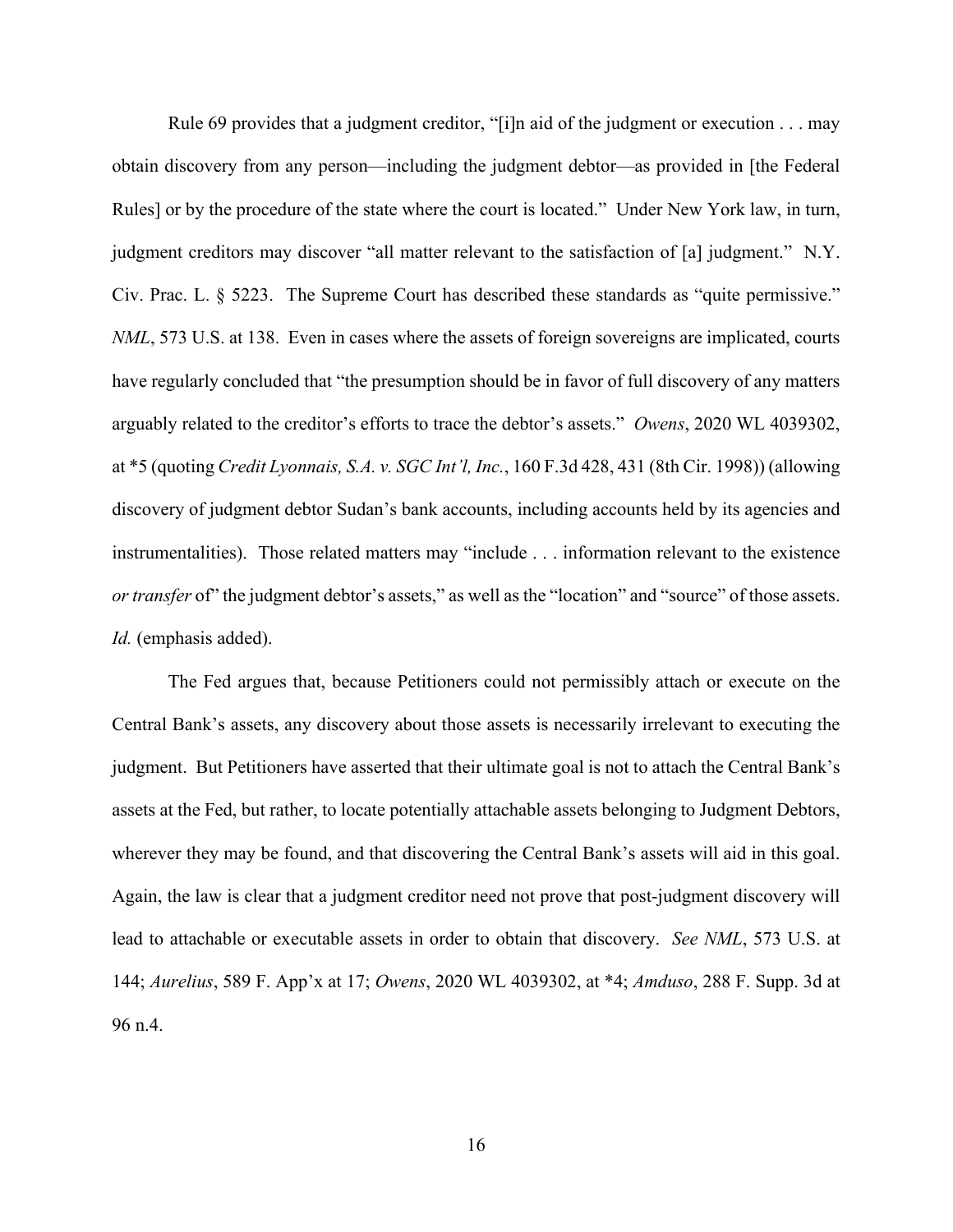Rule 69 provides that a judgment creditor, "[i]n aid of the judgment or execution . . . may obtain discovery from any person—including the judgment debtor—as provided in [the Federal Rules] or by the procedure of the state where the court is located." Under New York law, in turn, judgment creditors may discover "all matter relevant to the satisfaction of [a] judgment." N.Y. Civ. Prac. L. § 5223. The Supreme Court has described these standards as "quite permissive." *NML*, 573 U.S. at 138. Even in cases where the assets of foreign sovereigns are implicated, courts have regularly concluded that "the presumption should be in favor of full discovery of any matters arguably related to the creditor's efforts to trace the debtor's assets." *Owens*, 2020 WL 4039302, at \*5 (quoting *Credit Lyonnais, S.A. v. SGC Int'l, Inc.*, 160 F.3d 428, 431 (8th Cir. 1998)) (allowing discovery of judgment debtor Sudan's bank accounts, including accounts held by its agencies and instrumentalities). Those related matters may "include . . . information relevant to the existence *or transfer* of" the judgment debtor's assets," as well as the "location" and "source" of those assets. *Id.* (emphasis added).

The Fed argues that, because Petitioners could not permissibly attach or execute on the Central Bank's assets, any discovery about those assets is necessarily irrelevant to executing the judgment. But Petitioners have asserted that their ultimate goal is not to attach the Central Bank's assets at the Fed, but rather, to locate potentially attachable assets belonging to Judgment Debtors, wherever they may be found, and that discovering the Central Bank's assets will aid in this goal. Again, the law is clear that a judgment creditor need not prove that post-judgment discovery will lead to attachable or executable assets in order to obtain that discovery. *See NML*, 573 U.S. at 144; *Aurelius*, 589 F. App'x at 17; *Owens*, 2020 WL 4039302, at \*4; *Amduso*, 288 F. Supp. 3d at 96 n.4.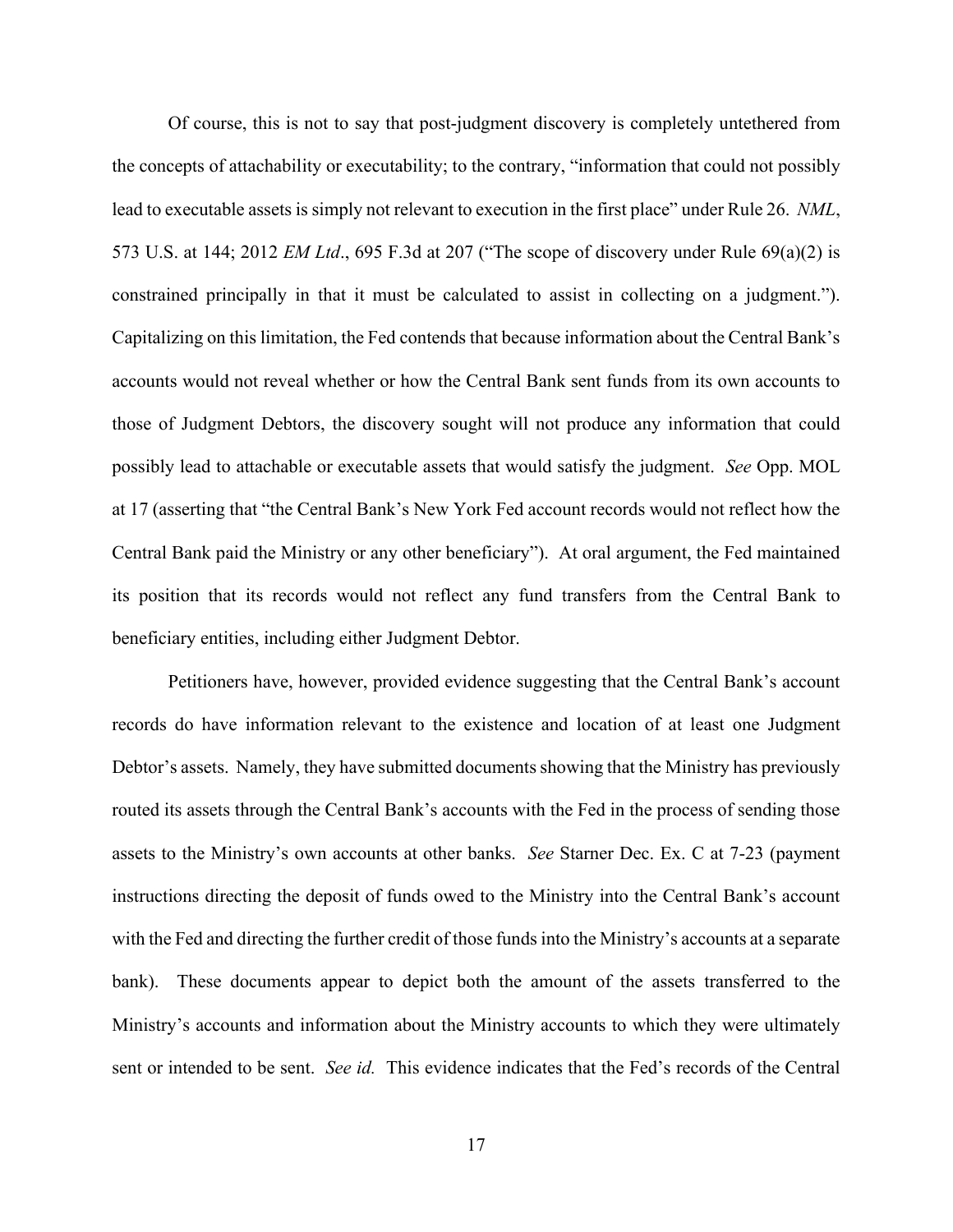Of course, this is not to say that post-judgment discovery is completely untethered from the concepts of attachability or executability; to the contrary, "information that could not possibly lead to executable assets is simply not relevant to execution in the first place" under Rule 26. *NML*, 573 U.S. at 144; 2012 *EM Ltd*., 695 F.3d at 207 ("The scope of discovery under Rule 69(a)(2) is constrained principally in that it must be calculated to assist in collecting on a judgment."). Capitalizing on this limitation, the Fed contends that because information about the Central Bank's accounts would not reveal whether or how the Central Bank sent funds from its own accounts to those of Judgment Debtors, the discovery sought will not produce any information that could possibly lead to attachable or executable assets that would satisfy the judgment. *See* Opp. MOL at 17 (asserting that "the Central Bank's New York Fed account records would not reflect how the Central Bank paid the Ministry or any other beneficiary"). At oral argument, the Fed maintained its position that its records would not reflect any fund transfers from the Central Bank to beneficiary entities, including either Judgment Debtor.

Petitioners have, however, provided evidence suggesting that the Central Bank's account records do have information relevant to the existence and location of at least one Judgment Debtor's assets. Namely, they have submitted documents showing that the Ministry has previously routed its assets through the Central Bank's accounts with the Fed in the process of sending those assets to the Ministry's own accounts at other banks. *See* Starner Dec. Ex. C at 7-23 (payment instructions directing the deposit of funds owed to the Ministry into the Central Bank's account with the Fed and directing the further credit of those funds into the Ministry's accounts at a separate bank). These documents appear to depict both the amount of the assets transferred to the Ministry's accounts and information about the Ministry accounts to which they were ultimately sent or intended to be sent. *See id.* This evidence indicates that the Fed's records of the Central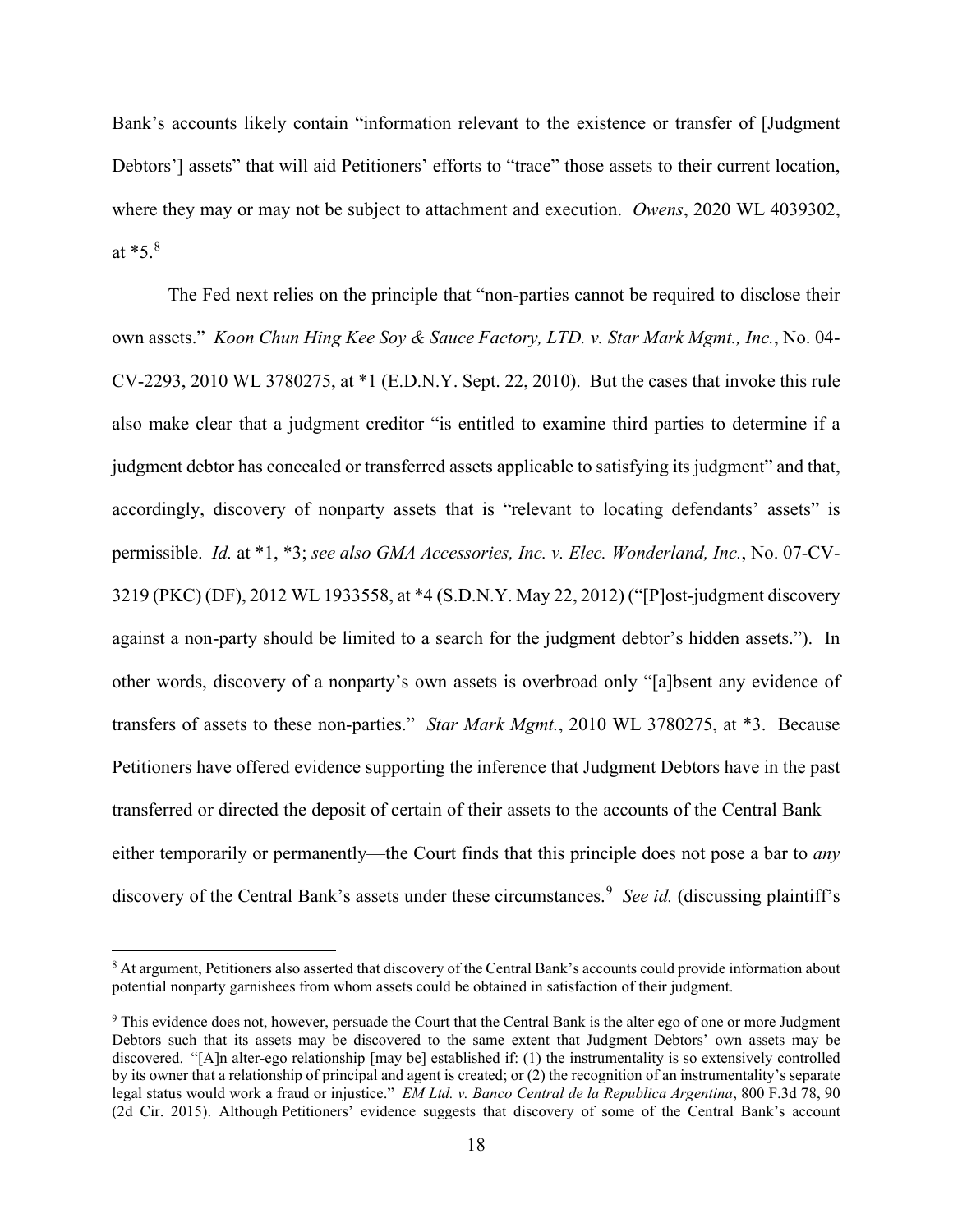Bank's accounts likely contain "information relevant to the existence or transfer of [Judgment Debtors'] assets" that will aid Petitioners' efforts to "trace" those assets to their current location, where they may or may not be subject to attachment and execution. *Owens*, 2020 WL 4039302, at \*5. [8](#page-17-0)

The Fed next relies on the principle that "non-parties cannot be required to disclose their own assets." *Koon Chun Hing Kee Soy & Sauce Factory, LTD. v. Star Mark Mgmt., Inc.*, No. 04- CV-2293, 2010 WL 3780275, at \*1 (E.D.N.Y. Sept. 22, 2010). But the cases that invoke this rule also make clear that a judgment creditor "is entitled to examine third parties to determine if a judgment debtor has concealed or transferred assets applicable to satisfying its judgment" and that, accordingly, discovery of nonparty assets that is "relevant to locating defendants' assets" is permissible. *Id.* at \*1, \*3; *see also GMA Accessories, Inc. v. Elec. Wonderland, Inc.*, No. 07-CV-3219 (PKC) (DF), 2012 WL 1933558, at \*4 (S.D.N.Y. May 22, 2012) ("[P]ost-judgment discovery against a non-party should be limited to a search for the judgment debtor's hidden assets."). In other words, discovery of a nonparty's own assets is overbroad only "[a]bsent any evidence of transfers of assets to these non-parties." *Star Mark Mgmt.*, 2010 WL 3780275, at \*3. Because Petitioners have offered evidence supporting the inference that Judgment Debtors have in the past transferred or directed the deposit of certain of their assets to the accounts of the Central Bank either temporarily or permanently—the Court finds that this principle does not pose a bar to *any* discovery of the Central Bank's assets under these circumstances. [9](#page-17-1) *See id.* (discussing plaintiff's

<span id="page-17-0"></span><sup>&</sup>lt;sup>8</sup> At argument, Petitioners also asserted that discovery of the Central Bank's accounts could provide information about potential nonparty garnishees from whom assets could be obtained in satisfaction of their judgment.

<span id="page-17-1"></span><sup>9</sup> This evidence does not, however, persuade the Court that the Central Bank is the alter ego of one or more Judgment Debtors such that its assets may be discovered to the same extent that Judgment Debtors' own assets may be discovered. "[A]n alter-ego relationship [may be] established if: (1) the instrumentality is so extensively controlled by its owner that a relationship of principal and agent is created; or (2) the recognition of an instrumentality's separate legal status would work a fraud or injustice." *EM Ltd. v. Banco Central de la Republica Argentina*, 800 F.3d 78, 90 (2d Cir. 2015). Although Petitioners' evidence suggests that discovery of some of the Central Bank's account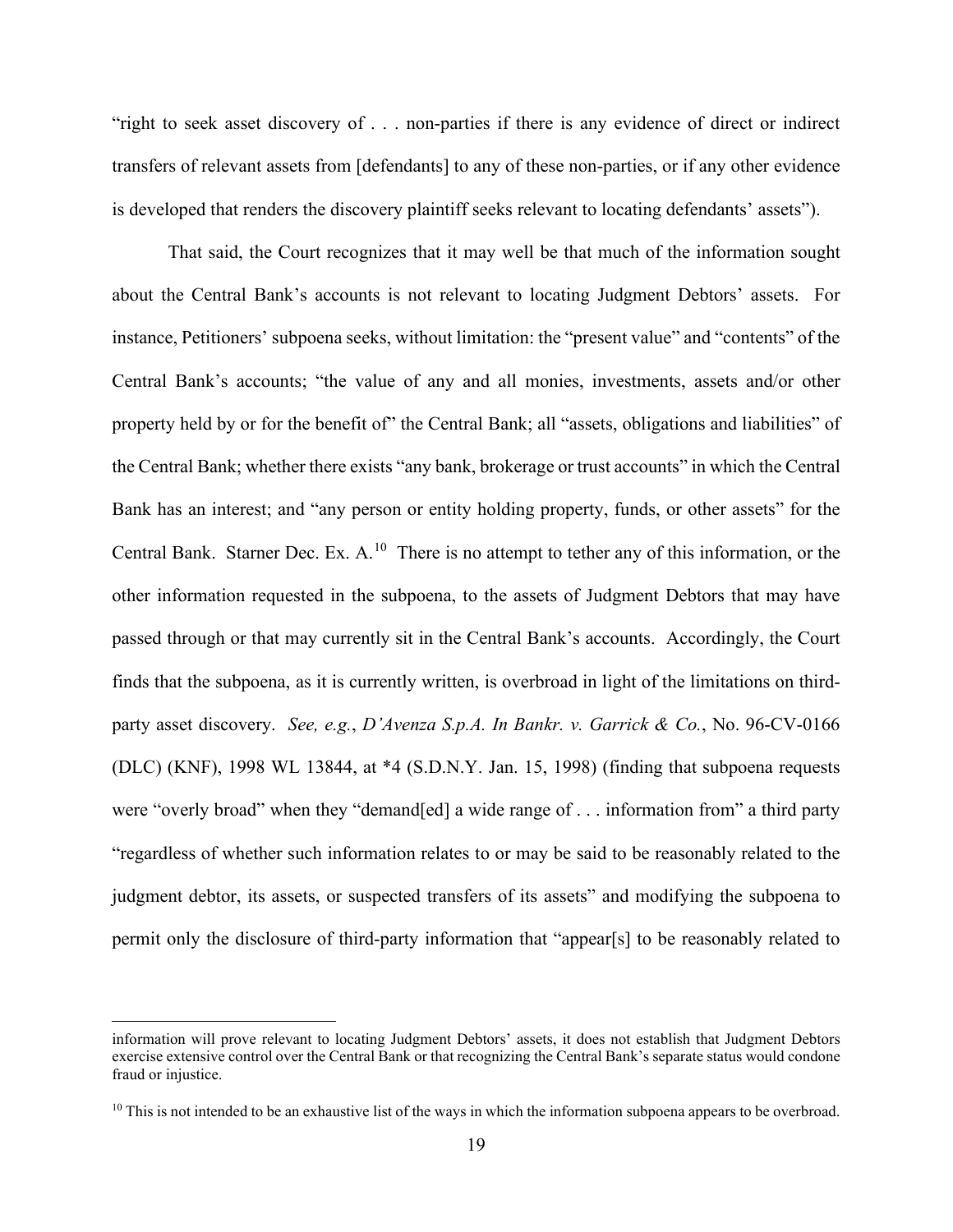"right to seek asset discovery of . . . non-parties if there is any evidence of direct or indirect transfers of relevant assets from [defendants] to any of these non-parties, or if any other evidence is developed that renders the discovery plaintiff seeks relevant to locating defendants' assets").

That said, the Court recognizes that it may well be that much of the information sought about the Central Bank's accounts is not relevant to locating Judgment Debtors' assets. For instance, Petitioners' subpoena seeks, without limitation: the "present value" and "contents" of the Central Bank's accounts; "the value of any and all monies, investments, assets and/or other property held by or for the benefit of" the Central Bank; all "assets, obligations and liabilities" of the Central Bank; whether there exists "any bank, brokerage or trust accounts" in which the Central Bank has an interest; and "any person or entity holding property, funds, or other assets" for the Central Bank. Starner Dec. Ex. A.<sup>10</sup> There is no attempt to tether any of this information, or the other information requested in the subpoena, to the assets of Judgment Debtors that may have passed through or that may currently sit in the Central Bank's accounts. Accordingly, the Court finds that the subpoena, as it is currently written, is overbroad in light of the limitations on thirdparty asset discovery. *See, e.g.*, *D'Avenza S.p.A. In Bankr. v. Garrick & Co.*, No. 96-CV-0166 (DLC) (KNF), 1998 WL 13844, at \*4 (S.D.N.Y. Jan. 15, 1998) (finding that subpoena requests were "overly broad" when they "demand[ed] a wide range of . . . information from" a third party "regardless of whether such information relates to or may be said to be reasonably related to the judgment debtor, its assets, or suspected transfers of its assets" and modifying the subpoena to permit only the disclosure of third-party information that "appear[s] to be reasonably related to

information will prove relevant to locating Judgment Debtors' assets, it does not establish that Judgment Debtors exercise extensive control over the Central Bank or that recognizing the Central Bank's separate status would condone fraud or injustice.

<span id="page-18-0"></span> $10$  This is not intended to be an exhaustive list of the ways in which the information subpoena appears to be overbroad.